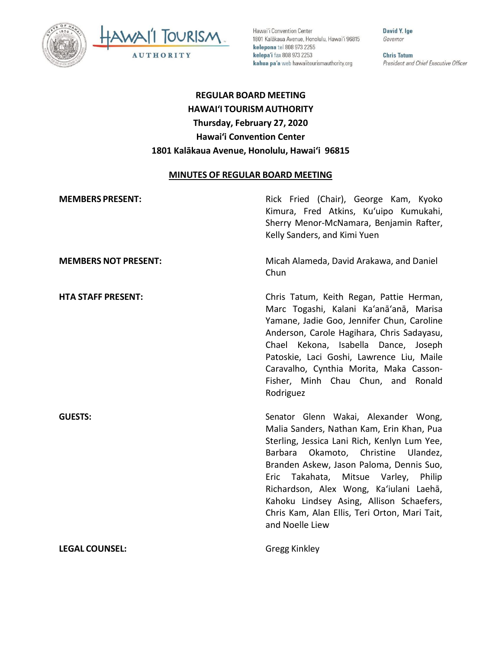



Hawai'i Convention Center 1801 Kalākaua Avenue, Honolulu, Hawai'i 96815 kelepona tel 808 973 2255 kelepa'i fax 808 973 2253 kahua pa'a web hawaiitourismauthority.org

David Y. Ige Governor

**Chris Tatum** President and Chief Executive Officer

# **REGULAR BOARD MEETING HAWAI'I TOURISM AUTHORITY Thursday, February 27, 2020 Hawai'i Convention Center 1801 Kalākaua Avenue, Honolulu, Hawai'i 96815**

#### **MINUTES OF REGULAR BOARD MEETING**

| <b>MEMBERS PRESENT:</b>     | Rick Fried (Chair), George Kam, Kyoko<br>Kimura, Fred Atkins, Ku'uipo Kumukahi,<br>Sherry Menor-McNamara, Benjamin Rafter,<br>Kelly Sanders, and Kimi Yuen                                                                                                                                                                                                                                                                 |
|-----------------------------|----------------------------------------------------------------------------------------------------------------------------------------------------------------------------------------------------------------------------------------------------------------------------------------------------------------------------------------------------------------------------------------------------------------------------|
| <b>MEMBERS NOT PRESENT:</b> | Micah Alameda, David Arakawa, and Daniel<br>Chun                                                                                                                                                                                                                                                                                                                                                                           |
| <b>HTA STAFF PRESENT:</b>   | Chris Tatum, Keith Regan, Pattie Herman,<br>Marc Togashi, Kalani Ka'anā'anā, Marisa<br>Yamane, Jadie Goo, Jennifer Chun, Caroline<br>Anderson, Carole Hagihara, Chris Sadayasu,<br>Chael Kekona, Isabella Dance, Joseph<br>Patoskie, Laci Goshi, Lawrence Liu, Maile<br>Caravalho, Cynthia Morita, Maka Casson-<br>Fisher, Minh Chau Chun, and Ronald<br>Rodriguez                                                         |
| <b>GUESTS:</b>              | Senator Glenn Wakai, Alexander Wong,<br>Malia Sanders, Nathan Kam, Erin Khan, Pua<br>Sterling, Jessica Lani Rich, Kenlyn Lum Yee,<br>Okamoto, Christine Ulandez,<br>Barbara<br>Branden Askew, Jason Paloma, Dennis Suo,<br>Eric Takahata, Mitsue Varley, Philip<br>Richardson, Alex Wong, Ka'iulani Laehā,<br>Kahoku Lindsey Asing, Allison Schaefers,<br>Chris Kam, Alan Ellis, Teri Orton, Mari Tait,<br>and Noelle Liew |
| <b>LEGAL COUNSEL:</b>       | Gregg Kinkley                                                                                                                                                                                                                                                                                                                                                                                                              |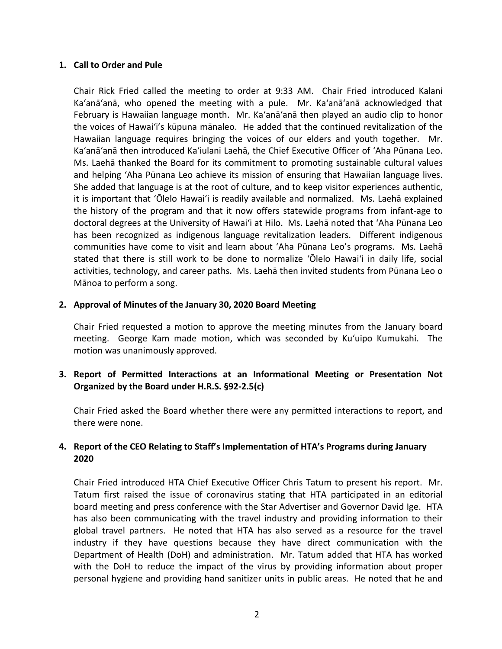#### **1. Call to Order and Pule**

Chair Rick Fried called the meeting to order at 9:33 AM. Chair Fried introduced Kalani Ka'anā'anā, who opened the meeting with a pule. Mr. Ka'anā'anā acknowledged that February is Hawaiian language month. Mr. Ka'anā'anā then played an audio clip to honor the voices of Hawai'i's kūpuna mānaleo. He added that the continued revitalization of the Hawaiian language requires bringing the voices of our elders and youth together. Mr. Ka'anā'anā then introduced Ka'iulani Laehā, the Chief Executive Officer of 'Aha Pūnana Leo. Ms. Laehā thanked the Board for its commitment to promoting sustainable cultural values and helping 'Aha Pūnana Leo achieve its mission of ensuring that Hawaiian language lives. She added that language is at the root of culture, and to keep visitor experiences authentic, it is important that 'Ōlelo Hawai'i is readily available and normalized. Ms. Laehā explained the history of the program and that it now offers statewide programs from infant-age to doctoral degrees at the University of Hawai'i at Hilo. Ms. Laehā noted that 'Aha Pūnana Leo has been recognized as indigenous language revitalization leaders. Different indigenous communities have come to visit and learn about 'Aha Pūnana Leo's programs. Ms. Laehā stated that there is still work to be done to normalize 'Ōlelo Hawai'i in daily life, social activities, technology, and career paths. Ms. Laehā then invited students from Pūnana Leo o Mānoa to perform a song.

#### **2. Approval of Minutes of the January 30, 2020 Board Meeting**

Chair Fried requested a motion to approve the meeting minutes from the January board meeting. George Kam made motion, which was seconded by Ku'uipo Kumukahi. The motion was unanimously approved.

## **3. Report of Permitted Interactions at an Informational Meeting or Presentation Not Organized by the Board under H.R.S. §92-2.5(c)**

Chair Fried asked the Board whether there were any permitted interactions to report, and there were none.

## **4. Report of the CEO Relating to Staff's Implementation of HTA's Programs during January 2020**

Chair Fried introduced HTA Chief Executive Officer Chris Tatum to present his report. Mr. Tatum first raised the issue of coronavirus stating that HTA participated in an editorial board meeting and press conference with the Star Advertiser and Governor David Ige. HTA has also been communicating with the travel industry and providing information to their global travel partners. He noted that HTA has also served as a resource for the travel industry if they have questions because they have direct communication with the Department of Health (DoH) and administration. Mr. Tatum added that HTA has worked with the DoH to reduce the impact of the virus by providing information about proper personal hygiene and providing hand sanitizer units in public areas. He noted that he and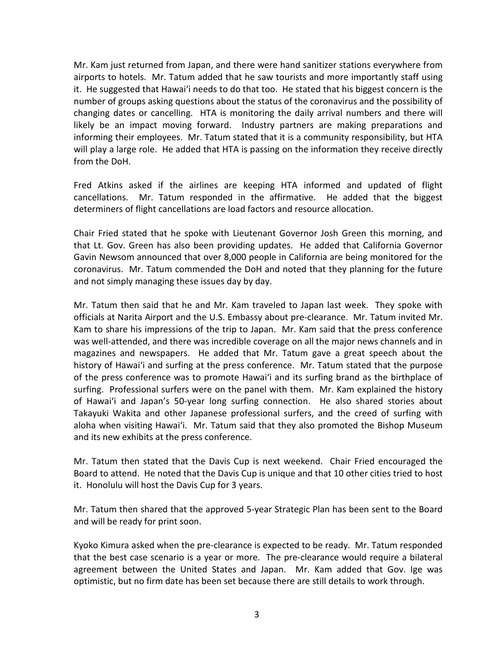Mr. Kam just returned from Japan, and there were hand sanitizer stations everywhere from airports to hotels. Mr. Tatum added that he saw tourists and more importantly staff using it. He suggested that Hawai'i needs to do that too. He stated that his biggest concern is the number of groups asking questions about the status of the coronavirus and the possibility of changing dates or cancelling. HTA is monitoring the daily arrival numbers and there will likely be an impact moving forward. Industry partners are making preparations and informing their employees. Mr. Tatum stated that it is a community responsibility, but HTA will play a large role. He added that HTA is passing on the information they receive directly from the DoH.

Fred Atkins asked if the airlines are keeping HTA informed and updated of flight cancellations. Mr. Tatum responded in the affirmative. He added that the biggest determiners of flight cancellations are load factors and resource allocation.

Chair Fried stated that he spoke with Lieutenant Governor Josh Green this morning, and that Lt. Gov. Green has also been providing updates. He added that California Governor Gavin Newsom announced that over 8,000 people in California are being monitored for the coronavirus. Mr. Tatum commended the DoH and noted that they planning for the future and not simply managing these issues day by day.

Mr. Tatum then said that he and Mr. Kam traveled to Japan last week. They spoke with officials at Narita Airport and the U.S. Embassy about pre-clearance. Mr. Tatum invited Mr. Kam to share his impressions of the trip to Japan. Mr. Kam said that the press conference was well-attended, and there was incredible coverage on all the major news channels and in magazines and newspapers. He added that Mr. Tatum gave a great speech about the history of Hawai'i and surfing at the press conference. Mr. Tatum stated that the purpose of the press conference was to promote Hawai'i and its surfing brand as the birthplace of surfing. Professional surfers were on the panel with them. Mr. Kam explained the history of Hawai'i and Japan's 50-year long surfing connection. He also shared stories about Takayuki Wakita and other Japanese professional surfers, and the creed of surfing with aloha when visiting Hawai'i. Mr. Tatum said that they also promoted the Bishop Museum and its new exhibits at the press conference.

Mr. Tatum then stated that the Davis Cup is next weekend. Chair Fried encouraged the Board to attend. He noted that the Davis Cup is unique and that 10 other cities tried to host it. Honolulu will host the Davis Cup for 3 years.

Mr. Tatum then shared that the approved 5-year Strategic Plan has been sent to the Board and will be ready for print soon.

Kyoko Kimura asked when the pre-clearance is expected to be ready. Mr. Tatum responded that the best case scenario is a year or more. The pre-clearance would require a bilateral agreement between the United States and Japan. Mr. Kam added that Gov. Ige was optimistic, but no firm date has been set because there are still details to work through.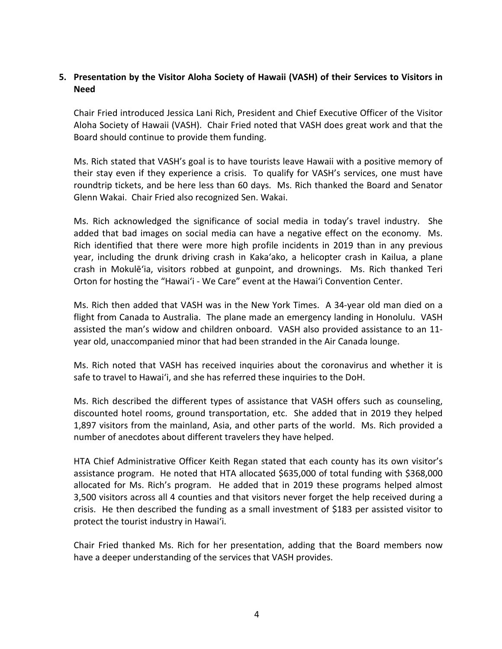## **5. Presentation by the Visitor Aloha Society of Hawaii (VASH) of their Services to Visitors in Need**

Chair Fried introduced Jessica Lani Rich, President and Chief Executive Officer of the Visitor Aloha Society of Hawaii (VASH). Chair Fried noted that VASH does great work and that the Board should continue to provide them funding.

Ms. Rich stated that VASH's goal is to have tourists leave Hawaii with a positive memory of their stay even if they experience a crisis. To qualify for VASH's services, one must have roundtrip tickets, and be here less than 60 days. Ms. Rich thanked the Board and Senator Glenn Wakai. Chair Fried also recognized Sen. Wakai.

Ms. Rich acknowledged the significance of social media in today's travel industry. She added that bad images on social media can have a negative effect on the economy. Ms. Rich identified that there were more high profile incidents in 2019 than in any previous year, including the drunk driving crash in Kaka'ako, a helicopter crash in Kailua, a plane crash in Mokulē'ia, visitors robbed at gunpoint, and drownings. Ms. Rich thanked Teri Orton for hosting the "Hawai'i - We Care" event at the Hawai'i Convention Center.

Ms. Rich then added that VASH was in the New York Times. A 34-year old man died on a flight from Canada to Australia. The plane made an emergency landing in Honolulu. VASH assisted the man's widow and children onboard. VASH also provided assistance to an 11 year old, unaccompanied minor that had been stranded in the Air Canada lounge.

Ms. Rich noted that VASH has received inquiries about the coronavirus and whether it is safe to travel to Hawai'i, and she has referred these inquiries to the DoH.

Ms. Rich described the different types of assistance that VASH offers such as counseling, discounted hotel rooms, ground transportation, etc. She added that in 2019 they helped 1,897 visitors from the mainland, Asia, and other parts of the world. Ms. Rich provided a number of anecdotes about different travelers they have helped.

HTA Chief Administrative Officer Keith Regan stated that each county has its own visitor's assistance program. He noted that HTA allocated \$635,000 of total funding with \$368,000 allocated for Ms. Rich's program. He added that in 2019 these programs helped almost 3,500 visitors across all 4 counties and that visitors never forget the help received during a crisis. He then described the funding as a small investment of \$183 per assisted visitor to protect the tourist industry in Hawai'i.

Chair Fried thanked Ms. Rich for her presentation, adding that the Board members now have a deeper understanding of the services that VASH provides.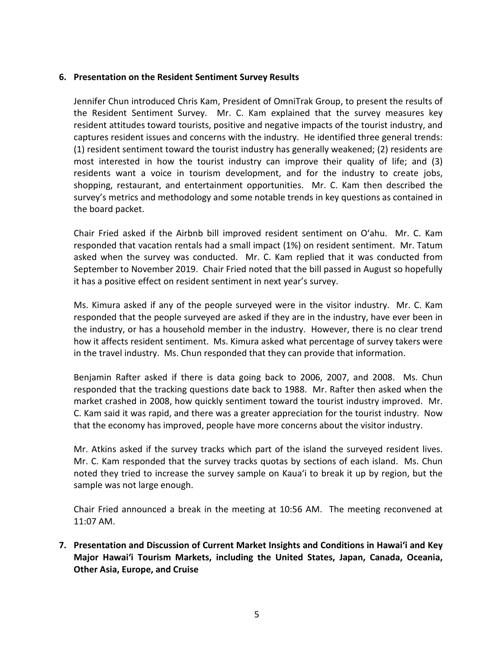#### **6. Presentation on the Resident Sentiment Survey Results**

Jennifer Chun introduced Chris Kam, President of OmniTrak Group, to present the results of the Resident Sentiment Survey. Mr. C. Kam explained that the survey measures key resident attitudes toward tourists, positive and negative impacts of the tourist industry, and captures resident issues and concerns with the industry. He identified three general trends: (1) resident sentiment toward the tourist industry has generally weakened; (2) residents are most interested in how the tourist industry can improve their quality of life; and (3) residents want a voice in tourism development, and for the industry to create jobs, shopping, restaurant, and entertainment opportunities. Mr. C. Kam then described the survey's metrics and methodology and some notable trends in key questions as contained in the board packet.

Chair Fried asked if the Airbnb bill improved resident sentiment on O'ahu. Mr. C. Kam responded that vacation rentals had a small impact (1%) on resident sentiment. Mr. Tatum asked when the survey was conducted. Mr. C. Kam replied that it was conducted from September to November 2019. Chair Fried noted that the bill passed in August so hopefully it has a positive effect on resident sentiment in next year's survey.

Ms. Kimura asked if any of the people surveyed were in the visitor industry. Mr. C. Kam responded that the people surveyed are asked if they are in the industry, have ever been in the industry, or has a household member in the industry. However, there is no clear trend how it affects resident sentiment. Ms. Kimura asked what percentage of survey takers were in the travel industry. Ms. Chun responded that they can provide that information.

Benjamin Rafter asked if there is data going back to 2006, 2007, and 2008. Ms. Chun responded that the tracking questions date back to 1988. Mr. Rafter then asked when the market crashed in 2008, how quickly sentiment toward the tourist industry improved. Mr. C. Kam said it was rapid, and there was a greater appreciation for the tourist industry. Now that the economy has improved, people have more concerns about the visitor industry.

Mr. Atkins asked if the survey tracks which part of the island the surveyed resident lives. Mr. C. Kam responded that the survey tracks quotas by sections of each island. Ms. Chun noted they tried to increase the survey sample on Kaua'i to break it up by region, but the sample was not large enough.

Chair Fried announced a break in the meeting at 10:56 AM. The meeting reconvened at 11:07 AM.

**7. Presentation and Discussion of Current Market Insights and Conditions in Hawai'i and Key Major Hawai'i Tourism Markets, including the United States, Japan, Canada, Oceania, Other Asia, Europe, and Cruise**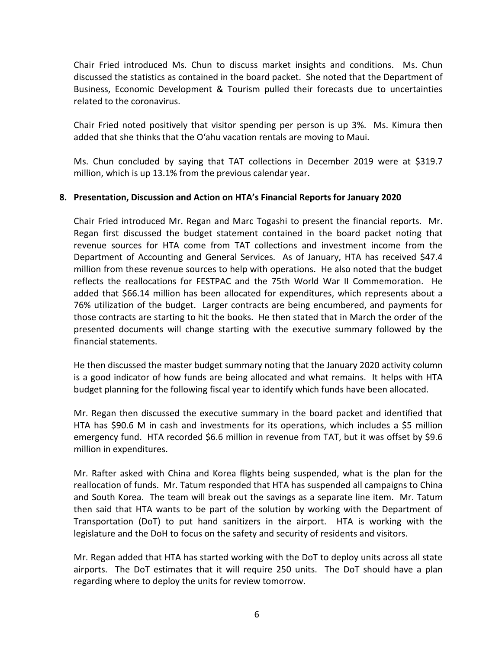Chair Fried introduced Ms. Chun to discuss market insights and conditions. Ms. Chun discussed the statistics as contained in the board packet. She noted that the Department of Business, Economic Development & Tourism pulled their forecasts due to uncertainties related to the coronavirus.

Chair Fried noted positively that visitor spending per person is up 3%. Ms. Kimura then added that she thinks that the O'ahu vacation rentals are moving to Maui.

Ms. Chun concluded by saying that TAT collections in December 2019 were at \$319.7 million, which is up 13.1% from the previous calendar year.

#### **8. Presentation, Discussion and Action on HTA's Financial Reports for January 2020**

Chair Fried introduced Mr. Regan and Marc Togashi to present the financial reports. Mr. Regan first discussed the budget statement contained in the board packet noting that revenue sources for HTA come from TAT collections and investment income from the Department of Accounting and General Services. As of January, HTA has received \$47.4 million from these revenue sources to help with operations. He also noted that the budget reflects the reallocations for FESTPAC and the 75th World War II Commemoration. He added that \$66.14 million has been allocated for expenditures, which represents about a 76% utilization of the budget. Larger contracts are being encumbered, and payments for those contracts are starting to hit the books. He then stated that in March the order of the presented documents will change starting with the executive summary followed by the financial statements.

He then discussed the master budget summary noting that the January 2020 activity column is a good indicator of how funds are being allocated and what remains. It helps with HTA budget planning for the following fiscal year to identify which funds have been allocated.

Mr. Regan then discussed the executive summary in the board packet and identified that HTA has \$90.6 M in cash and investments for its operations, which includes a \$5 million emergency fund. HTA recorded \$6.6 million in revenue from TAT, but it was offset by \$9.6 million in expenditures.

Mr. Rafter asked with China and Korea flights being suspended, what is the plan for the reallocation of funds. Mr. Tatum responded that HTA has suspended all campaigns to China and South Korea. The team will break out the savings as a separate line item. Mr. Tatum then said that HTA wants to be part of the solution by working with the Department of Transportation (DoT) to put hand sanitizers in the airport. HTA is working with the legislature and the DoH to focus on the safety and security of residents and visitors.

Mr. Regan added that HTA has started working with the DoT to deploy units across all state airports. The DoT estimates that it will require 250 units. The DoT should have a plan regarding where to deploy the units for review tomorrow.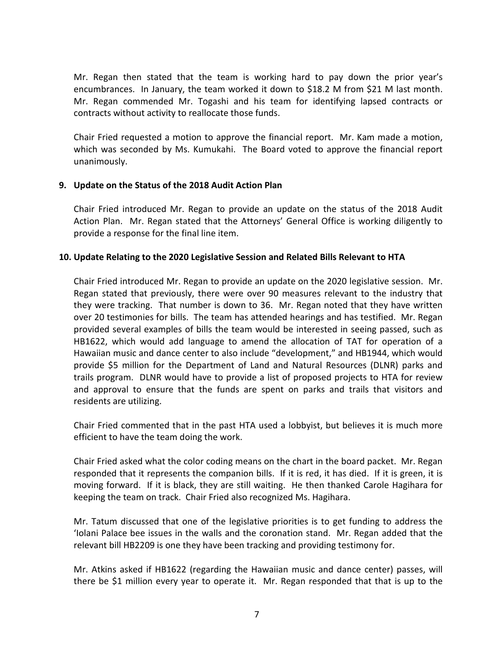Mr. Regan then stated that the team is working hard to pay down the prior year's encumbrances. In January, the team worked it down to \$18.2 M from \$21 M last month. Mr. Regan commended Mr. Togashi and his team for identifying lapsed contracts or contracts without activity to reallocate those funds.

Chair Fried requested a motion to approve the financial report. Mr. Kam made a motion, which was seconded by Ms. Kumukahi. The Board voted to approve the financial report unanimously.

#### **9. Update on the Status of the 2018 Audit Action Plan**

Chair Fried introduced Mr. Regan to provide an update on the status of the 2018 Audit Action Plan. Mr. Regan stated that the Attorneys' General Office is working diligently to provide a response for the final line item.

## **10. Update Relating to the 2020 Legislative Session and Related Bills Relevant to HTA**

Chair Fried introduced Mr. Regan to provide an update on the 2020 legislative session. Mr. Regan stated that previously, there were over 90 measures relevant to the industry that they were tracking. That number is down to 36. Mr. Regan noted that they have written over 20 testimonies for bills. The team has attended hearings and has testified. Mr. Regan provided several examples of bills the team would be interested in seeing passed, such as HB1622, which would add language to amend the allocation of TAT for operation of a Hawaiian music and dance center to also include "development," and HB1944, which would provide \$5 million for the Department of Land and Natural Resources (DLNR) parks and trails program. DLNR would have to provide a list of proposed projects to HTA for review and approval to ensure that the funds are spent on parks and trails that visitors and residents are utilizing.

Chair Fried commented that in the past HTA used a lobbyist, but believes it is much more efficient to have the team doing the work.

Chair Fried asked what the color coding means on the chart in the board packet. Mr. Regan responded that it represents the companion bills. If it is red, it has died. If it is green, it is moving forward. If it is black, they are still waiting. He then thanked Carole Hagihara for keeping the team on track. Chair Fried also recognized Ms. Hagihara.

Mr. Tatum discussed that one of the legislative priorities is to get funding to address the 'Iolani Palace bee issues in the walls and the coronation stand. Mr. Regan added that the relevant bill HB2209 is one they have been tracking and providing testimony for.

Mr. Atkins asked if HB1622 (regarding the Hawaiian music and dance center) passes, will there be \$1 million every year to operate it. Mr. Regan responded that that is up to the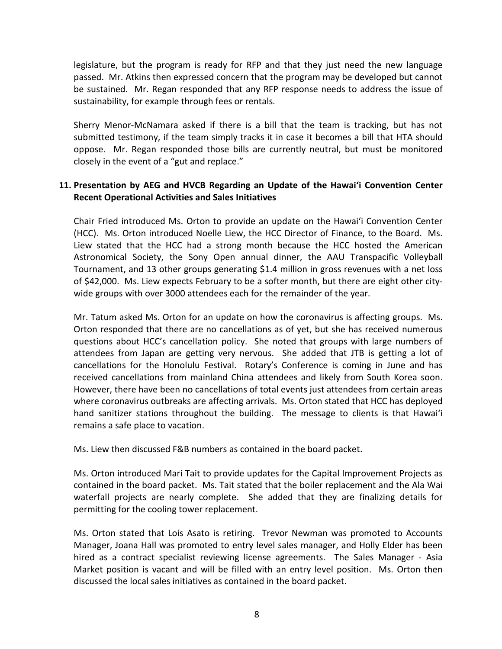legislature, but the program is ready for RFP and that they just need the new language passed. Mr. Atkins then expressed concern that the program may be developed but cannot be sustained. Mr. Regan responded that any RFP response needs to address the issue of sustainability, for example through fees or rentals.

Sherry Menor-McNamara asked if there is a bill that the team is tracking, but has not submitted testimony, if the team simply tracks it in case it becomes a bill that HTA should oppose. Mr. Regan responded those bills are currently neutral, but must be monitored closely in the event of a "gut and replace."

## **11. Presentation by AEG and HVCB Regarding an Update of the Hawai'i Convention Center Recent Operational Activities and Sales Initiatives**

Chair Fried introduced Ms. Orton to provide an update on the Hawai'i Convention Center (HCC). Ms. Orton introduced Noelle Liew, the HCC Director of Finance, to the Board. Ms. Liew stated that the HCC had a strong month because the HCC hosted the American Astronomical Society, the Sony Open annual dinner, the AAU Transpacific Volleyball Tournament, and 13 other groups generating \$1.4 million in gross revenues with a net loss of \$42,000. Ms. Liew expects February to be a softer month, but there are eight other citywide groups with over 3000 attendees each for the remainder of the year.

Mr. Tatum asked Ms. Orton for an update on how the coronavirus is affecting groups. Ms. Orton responded that there are no cancellations as of yet, but she has received numerous questions about HCC's cancellation policy. She noted that groups with large numbers of attendees from Japan are getting very nervous. She added that JTB is getting a lot of cancellations for the Honolulu Festival. Rotary's Conference is coming in June and has received cancellations from mainland China attendees and likely from South Korea soon. However, there have been no cancellations of total events just attendees from certain areas where coronavirus outbreaks are affecting arrivals. Ms. Orton stated that HCC has deployed hand sanitizer stations throughout the building. The message to clients is that Hawai'i remains a safe place to vacation.

Ms. Liew then discussed F&B numbers as contained in the board packet.

Ms. Orton introduced Mari Tait to provide updates for the Capital Improvement Projects as contained in the board packet. Ms. Tait stated that the boiler replacement and the Ala Wai waterfall projects are nearly complete. She added that they are finalizing details for permitting for the cooling tower replacement.

Ms. Orton stated that Lois Asato is retiring. Trevor Newman was promoted to Accounts Manager, Joana Hall was promoted to entry level sales manager, and Holly Elder has been hired as a contract specialist reviewing license agreements. The Sales Manager - Asia Market position is vacant and will be filled with an entry level position. Ms. Orton then discussed the local sales initiatives as contained in the board packet.